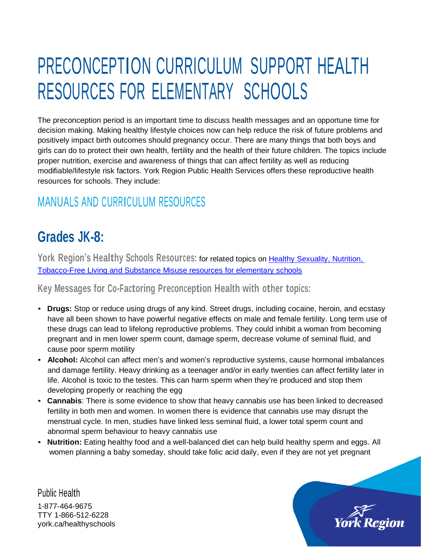# PRECONCEPTION CURRICULUM SUPPORT HEALTH RESOURCES FOR ELEMENTARY SCHOOLS

The preconception period is an important time to discuss health messages and an opportune time for decision making. Making healthy lifestyle choices now can help reduce the risk of future problems and positively impact birth outcomes should pregnancy occur. There are many things that both boys and girls can do to protect their own health, fertility and the health of their future children. The topics include proper nutrition, exercise and awareness of things that can affect fertility as well as reducing modifiable/lifestyle risk factors. York Region Public Health Services offers these reproductive health resources for schools. They include:

### MANUALS AND CURRICULUM RESOURCES

# **Grades JK-8:**

**York Region's Healthy Schools Resources:** for related topics on Healthy [Sexuality,](http://bit.ly/2vuKjoy) Nutrition, Tobacco-Free Living and Substance Misuse resources [for elementary](http://bit.ly/2vuKjoy) schools

**Key Messages for Co-Factoring Preconception Health with other topics:**

- **Drugs:** Stop or reduce using drugs of any kind. Street drugs, including cocaine, heroin, and ecstasy have all been shown to have powerful negative effects on male and female fertility. Long term use of these drugs can lead to lifelong reproductive problems. They could inhibit a woman from becoming pregnant and in men lower sperm count, damage sperm, decrease volume of seminal fluid, and cause poor sperm motility
- **Alcohol:** Alcohol can affect men's and women's reproductive systems, cause hormonal imbalances and damage fertility. Heavy drinking as a teenager and/or in early twenties can affect fertility later in life. Alcohol is toxic to the testes. This can harm sperm when they're produced and stop them developing properly or reaching the egg
- **Cannabis**: There is some evidence to show that heavy cannabis use has been linked to decreased fertility in both men and women. In women there is evidence that cannabis use may disrupt the menstrual cycle. In men, studies have linked less seminal fluid, a lower total sperm count and abnormal sperm behaviour to heavy cannabis use
- **Nutrition:** Eating healthy food and a well-balanced diet can help build healthy sperm and eggs. All women planning a baby someday, should take folic acid daily, even if they are not yet pregnant

Public Health 1-877-464-9675 TTY 1-866-512-6228 york.ca/healthyschools

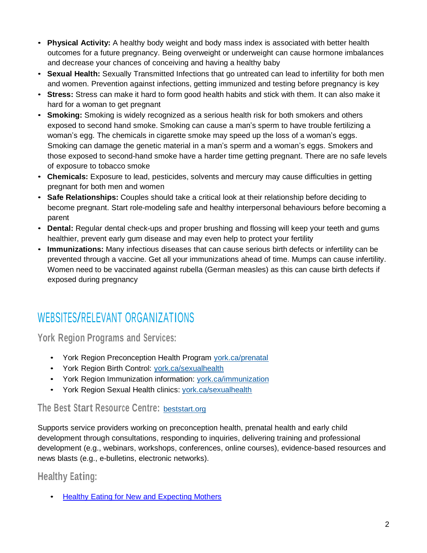- **Physical Activity:** A healthy body weight and body mass index is associated with better health outcomes for a future pregnancy. Being overweight or underweight can cause hormone imbalances and decrease your chances of conceiving and having a healthy baby
- **Sexual Health:** Sexually Transmitted Infections that go untreated can lead to infertility for both men and women. Prevention against infections, getting immunized and testing before pregnancy is key
- **Stress:** Stress can make it hard to form good health habits and stick with them. It can also make it hard for a woman to get pregnant
- **Smoking:** Smoking is widely recognized as a serious health risk for both smokers and others exposed to second hand smoke. Smoking can cause a man's sperm to have trouble fertilizing a woman's egg. The chemicals in cigarette smoke may speed up the loss of a woman's eggs. Smoking can damage the genetic material in a man's sperm and a woman's eggs. Smokers and those exposed to second-hand smoke have a harder time getting pregnant. There are no safe levels of exposure to tobacco smoke
- **Chemicals:** Exposure to lead, pesticides, solvents and mercury may cause difficulties in getting pregnant for both men and women
- **Safe Relationships:** Couples should take a critical look at their relationship before deciding to become pregnant. Start role-modeling safe and healthy interpersonal behaviours before becoming a parent
- **Dental:** Regular dental check-ups and proper brushing and flossing will keep your teeth and gums healthier, prevent early gum disease and may even help to protect your fertility
- **Immunizations:** Many infectious diseases that can cause serious birth defects or infertility can be prevented through a vaccine. Get all your immunizations ahead of time. Mumps can cause infertility. Women need to be vaccinated against rubella (German measles) as this can cause birth defects if exposed during pregnancy

### WEBSITES/RELEVANT ORGANIZATIONS

**York Region Programs and Services:**

- York Region Preconception Health Program [york.ca/prenatal](http://www.york.ca/prenatal)
- York Region Birth Control: [york.ca/sexualhealth](http://www.york.ca/sexualhealth)
- York Region Immunization information: [york.ca/immunization](http://www.york.ca/immunization)
- York Region Sexual Health clinics: [york.ca/sexualhealth](http://www.york.ca/sexualhealth)

#### **The Best Start Resource Centre:** [beststart.org](http://www.beststart.org/)

Supports service providers working on preconception health, prenatal health and early child development through consultations, responding to inquiries, delivering training and professional development (e.g., webinars, workshops, conferences, online courses), evidence-based resources and news blasts (e.g., e-bulletins, electronic networks).

#### **Healthy Eating:**

• Healthy Eating for New and [Expecting](https://www.york.ca/wps/portal/yorkhome/health/yr/prenatalandnewborns/healthyeatingfornewandexpectingmothers/!ut/p/z1/vZJLU8IwFIV_iwuXTG6b0oRlrEhboCDKqxsm1ECLNC0l8vj3pg7MuFDU0ZpFMrm5PXfO14NCNEGh5LtkyVWSSb7W92lozzzW8ly3DX7Pog4w6DHfJBSaDQON3xrgk8UAhd_5_kJDeFl-hEIU5lHyhKZgYCoiDLUGtXHNog27Nud1Q28RzK0GphbBZXckVa5iND0WsyiTSkh1DceseNaXrUrUy1shzlKhd8HXKr6GvBCSK77m8kmK_Twr5Pb8eBSalVwudE3s9bs45CIqK2mmYlFskf8VAs3YLLpOd6mNcBXXErnI0OSDkWjyzZFaMVltNiHTZkuHB4Um_-R2XBJ-77f1QC3wRj5hI6MHlodPDaZp2a7hgA9uj4J3R_r1W-oa0DZPDRd--lSHhnyKdGCi8S4RezSUWZHqED_8MCPueQKhDnNZC_rwOCRw3yQWtTvdfmdg_HLCFwYqlseVyhOoVt6sVv5v4PgeOAYr44-bGJjpOfQG-zQIqmUfVMs-qJZ9UG3uR7-Fk6fDYUpxfb06Ykj6qTOn3SauL9PZ5WPPrq5eAfoRBTM!/dz/d5/L2dBISEvZ0FBIS9nQSEh/#.YijClDHMKbg) Mothers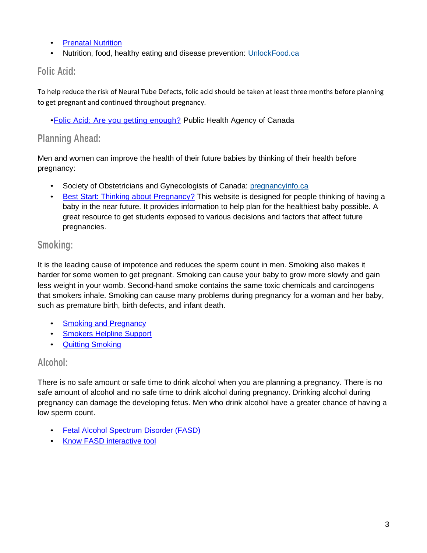- [Prenatal Nutrition](https://www.canada.ca/en/health-canada/services/food-nutrition/healthy-eating/prenatal-nutrition.html)
- Nutrition, food, healthy eating and disease prevention: [UnlockFood.ca](http://www.unlockfood.ca/)

#### **Folic Acid:**

To help reduce the risk of Neural Tube Defects, folic acid should be taken at least three months before planning to get pregnant and continued throughout pregnancy.

•[Folic Acid: Are you getting enough?](https://www.canada.ca/en/public-health/services/publications/healthy-living/folic-acid-are-you-getting-enough-factsheet.html) Public Health Agency of Canada

#### **Planning Ahead:**

Men and women can improve the health of their future babies by thinking of their health before pregnancy:

- Society of Obstetricians and Gynecologists of Canada: [pregnancyinfo.ca](http://www.pregnancyinfo.ca/)
- Best [Start: Thinking about Pregnancy?](file:///C:/Users/richardsk/AppData/Roaming/OpenText/DM/Temp/Best%20Start:%20Thinking%20about%20Pregnancy%3f) This website is designed for people thinking of having a baby in the near future. It provides information to help plan for the healthiest baby possible. A great resource to get students exposed to various decisions and factors that affect future pregnancies.

#### **Smoking:**

It is the leading cause of impotence and reduces the sperm count in men. Smoking also makes it harder for some women to get pregnant. Smoking can cause your baby to grow more slowly and gain less weight in your womb. Second-hand smoke contains the same toxic chemicals and carcinogens that smokers inhale. Smoking can cause many problems during pregnancy for a woman and her baby, such as premature birth, birth defects, and infant death.

- **Smoking and [Pregnancy](https://www.canada.ca/en/health-canada/services/health-concerns/tobacco/smoking-your-body/pregnancy.html)**
- **[Smokers](http://www.smokershelpline.ca/) Helpline Support**
- Quitting [Smoking](http://ow.ly/zswA4)

#### **Alcohol:**

There is no safe amount or safe time to drink alcohol when you are planning a pregnancy. There is no safe amount of alcohol and no safe time to drink alcohol during pregnancy. Drinking alcohol during pregnancy can damage the developing fetus. Men who drink alcohol have a greater chance of having a low sperm count.

- [Fetal Alcohol Spectrum](http://www.phac-aspc.gc.ca/hp-ps/dca-dea/prog-ini/fasd-etcaf/index-eng.php) Disorder (FASD)
- Know [FASD interactive](http://www.knowfasd.ca/) tool